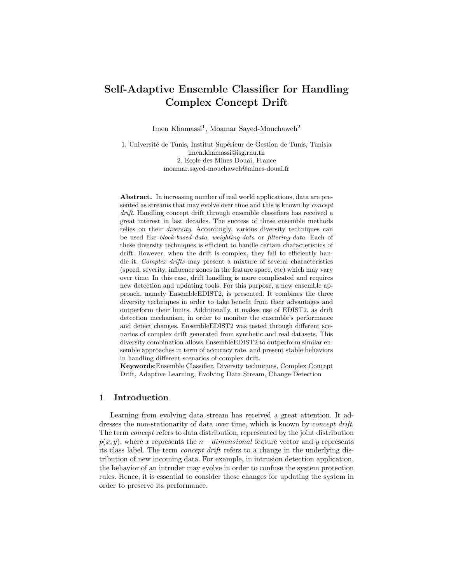# Self-Adaptive Ensemble Classifier for Handling Complex Concept Drift

Imen Khamassi<sup>1</sup>, Moamar Sayed-Mouchaweh<sup>2</sup>

1. Université de Tunis, Institut Supérieur de Gestion de Tunis, Tunisia imen.khamassi@isg.rnu.tn 2. Ecole des Mines Douai, France moamar.sayed-mouchaweh@mines-douai.fr

Abstract. In increasing number of real world applications, data are presented as streams that may evolve over time and this is known by concept drift. Handling concept drift through ensemble classifiers has received a great interest in last decades. The success of these ensemble methods relies on their diversity. Accordingly, various diversity techniques can be used like block-based data, weighting-data or filtering-data. Each of these diversity techniques is efficient to handle certain characteristics of drift. However, when the drift is complex, they fail to efficiently handle it. Complex drifts may present a mixture of several characteristics (speed, severity, influence zones in the feature space, etc) which may vary over time. In this case, drift handling is more complicated and requires new detection and updating tools. For this purpose, a new ensemble approach, namely EnsembleEDIST2, is presented. It combines the three diversity techniques in order to take benefit from their advantages and outperform their limits. Additionally, it makes use of EDIST2, as drift detection mechanism, in order to monitor the ensemble's performance and detect changes. EnsembleEDIST2 was tested through different scenarios of complex drift generated from synthetic and real datasets. This diversity combination allows EnsembleEDIST2 to outperform similar ensemble approaches in term of accuracy rate, and present stable behaviors in handling different scenarios of complex drift.

Keywords:Ensemble Classifier, Diversity techniques, Complex Concept Drift, Adaptive Learning, Evolving Data Stream, Change Detection

#### 1 Introduction

Learning from evolving data stream has received a great attention. It addresses the non-stationarity of data over time, which is known by concept drift. The term concept refers to data distribution, represented by the joint distribution  $p(x, y)$ , where x represents the  $n-dimensional$  feature vector and y represents its class label. The term concept drift refers to a change in the underlying distribution of new incoming data. For example, in intrusion detection application, the behavior of an intruder may evolve in order to confuse the system protection rules. Hence, it is essential to consider these changes for updating the system in order to preserve its performance.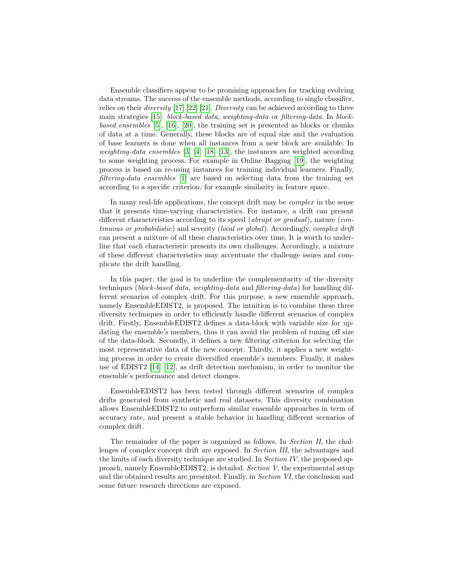Ensemble classifiers appear to be promising approaches for tracking evolving data streams. The success of the ensemble methods, according to single classifier, relies on their diversity [\[17\]](#page-18-0) [\[22\]](#page-18-1) [\[21\]](#page-18-2). Diversity can be achieved according to three main strategies [\[15\]](#page-18-3): block-based data, weighting-data or filtering-data. In blockbased ensembles [\[5\]](#page-17-0), [\[16\]](#page-18-4), [\[20\]](#page-18-5), the training set is presented as blocks or chunks of data at a time. Generally, these blocks are of equal size and the evaluation of base learners is done when all instances from a new block are available. In weighting-data ensembles [\[3\]](#page-17-1) [\[4\]](#page-17-2) [\[18\]](#page-18-6) [\[13\]](#page-18-7), the instances are weighted according to some weighting process. For example in Online Bagging [\[19\]](#page-18-8), the weighting process is based on re-using instances for training individual learners. Finally, filtering-data ensembles [\[1\]](#page-17-3) are based on selecting data from the training set according to a specific criterion, for example similarity in feature space.

In many real-life applications, the concept drift may be complex in the sense that it presents time-varying characteristics. For instance, a drift can present different characteristics according to its speed (abrupt or gradual), nature (continuous or probabilistic) and severity (local or global). Accordingly, complex drift can present a mixture of all these characteristics over time. It is worth to underline that each characteristic presents its own challenges. Accordingly, a mixture of these different characteristics may accentuate the challenge issues and complicate the drift handling.

In this paper, the goal is to underline the complementarity of the diversity techniques (block-based data, weighting-data and filtering-data) for handling different scenarios of complex drift. For this purpose, a new ensemble approach, namely EnsembleEDIST2, is proposed. The intuition is to combine these three diversity techniques in order to efficiently handle different scenarios of complex drift. Firstly, EnsembleEDIST2 defines a data-block with variable size for updating the ensemble's members, thus it can avoid the problem of tuning off size of the data-block. Secondly, it defines a new filtering criterion for selecting the most representative data of the new concept. Thirdly, it applies a new weighting process in order to create diversified ensemble's members. Finally, it makes use of EDIST2 [\[14\]](#page-18-9) [\[12\]](#page-18-10), as drift detection mechanism, in order to monitor the ensemble's performance and detect changes.

EnsembleEDIST2 has been tested through different scenarios of complex drifts generated from synthetic and real datasets. This diversity combination allows EnsembleEDIST2 to outperform similar ensemble approaches in term of accuracy rate, and present a stable behavior in handling different scenarios of complex drift.

The remainder of the paper is organized as follows. In Section II, the challenges of complex concept drift are exposed. In Section III, the advantages and the limits of each diversity technique are studied. In Section IV, the proposed approach, namely EnsembleEDIST2, is detailed. Section V, the experimental setup and the obtained results are presented. Finally, in Section VI, the conclusion and some future research directions are exposed.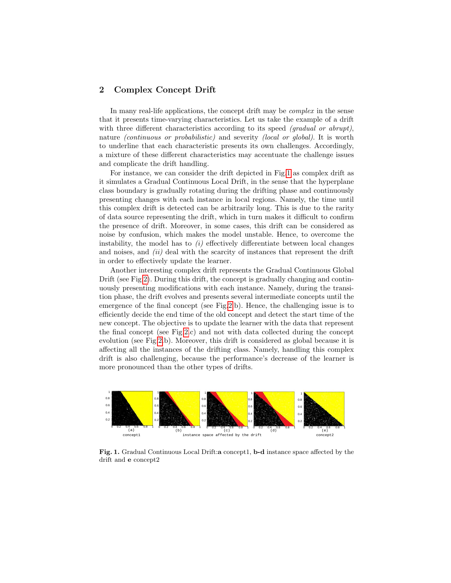### 2 Complex Concept Drift

In many real-life applications, the concept drift may be complex in the sense that it presents time-varying characteristics. Let us take the example of a drift with three different characteristics according to its speed *(gradual or abrupt)*, nature *(continuous or probabilistic)* and severity *(local or global)*. It is worth to underline that each characteristic presents its own challenges. Accordingly, a mixture of these different characteristics may accentuate the challenge issues and complicate the drift handling.

For instance, we can consider the drift depicted in Fig[.1](#page-2-0) as complex drift as it simulates a Gradual Continuous Local Drift, in the sense that the hyperplane class boundary is gradually rotating during the drifting phase and continuously presenting changes with each instance in local regions. Namely, the time until this complex drift is detected can be arbitrarily long. This is due to the rarity of data source representing the drift, which in turn makes it difficult to confirm the presence of drift. Moreover, in some cases, this drift can be considered as noise by confusion, which makes the model unstable. Hence, to overcome the instability, the model has to  $(i)$  effectively differentiate between local changes and noises, and  $(ii)$  deal with the scarcity of instances that represent the drift in order to effectively update the learner.

Another interesting complex drift represents the Gradual Continuous Global Drift (see Fig[.2\)](#page-3-0). During this drift, the concept is gradually changing and continuously presenting modifications with each instance. Namely, during the transition phase, the drift evolves and presents several intermediate concepts until the emergence of the final concept (see Fig[.2.](#page-3-0)b). Hence, the challenging issue is to efficiently decide the end time of the old concept and detect the start time of the new concept. The objective is to update the learner with the data that represent the final concept (see Fig[.2.](#page-3-0)c) and not with data collected during the concept evolution (see Fig[.2.](#page-3-0)b). Moreover, this drift is considered as global because it is affecting all the instances of the drifting class. Namely, handling this complex drift is also challenging, because the performance's decrease of the learner is more pronounced than the other types of drifts.



<span id="page-2-0"></span>Fig. 1. Gradual Continuous Local Drift:a concept1, b-d instance space affected by the drift and e concept2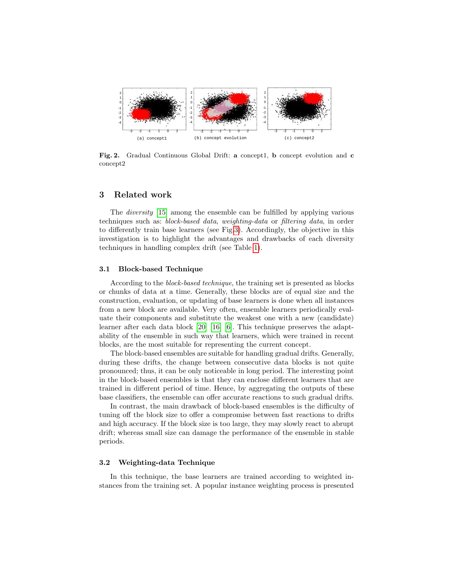

<span id="page-3-0"></span>Fig. 2. Gradual Continuous Global Drift: a concept1, b concept evolution and  $c$ concept2

#### 3 Related work

The diversity [\[15\]](#page-18-3) among the ensemble can be fulfilled by applying various techniques such as: block-based data, weighting-data or filtering data, in order to differently train base learners (see Fig[.3\)](#page-4-0). Accordingly, the objective in this investigation is to highlight the advantages and drawbacks of each diversity techniques in handling complex drift (see Table [1\)](#page-5-0).

#### 3.1 Block-based Technique

According to the block-based technique, the training set is presented as blocks or chunks of data at a time. Generally, these blocks are of equal size and the construction, evaluation, or updating of base learners is done when all instances from a new block are available. Very often, ensemble learners periodically evaluate their components and substitute the weakest one with a new (candidate) learner after each data block [\[20\]](#page-18-5) [\[16\]](#page-18-4) [\[6\]](#page-18-11). This technique preserves the adaptability of the ensemble in such way that learners, which were trained in recent blocks, are the most suitable for representing the current concept.

The block-based ensembles are suitable for handling gradual drifts. Generally, during these drifts, the change between consecutive data blocks is not quite pronounced; thus, it can be only noticeable in long period. The interesting point in the block-based ensembles is that they can enclose different learners that are trained in different period of time. Hence, by aggregating the outputs of these base classifiers, the ensemble can offer accurate reactions to such gradual drifts.

In contrast, the main drawback of block-based ensembles is the difficulty of tuning off the block size to offer a compromise between fast reactions to drifts and high accuracy. If the block size is too large, they may slowly react to abrupt drift; whereas small size can damage the performance of the ensemble in stable periods.

#### 3.2 Weighting-data Technique

In this technique, the base learners are trained according to weighted instances from the training set. A popular instance weighting process is presented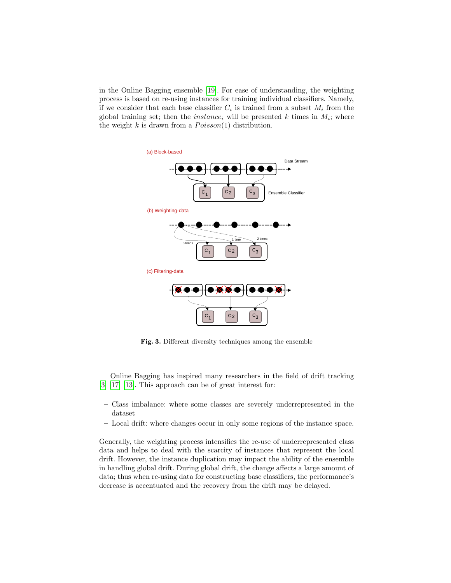in the Online Bagging ensemble [\[19\]](#page-18-8). For ease of understanding, the weighting process is based on re-using instances for training individual classifiers. Namely, if we consider that each base classifier  $C_i$  is trained from a subset  $M_i$  from the global training set; then the  $instance_i$  will be presented k times in  $M_i$ ; where the weight  $k$  is drawn from a  $Poisson(1)$  distribution.



<span id="page-4-0"></span>Fig. 3. Different diversity techniques among the ensemble

Online Bagging has inspired many researchers in the field of drift tracking [\[3\]](#page-17-1) [\[17\]](#page-18-0) [\[13\]](#page-18-7). This approach can be of great interest for:

- Class imbalance: where some classes are severely underrepresented in the dataset
- Local drift: where changes occur in only some regions of the instance space.

Generally, the weighting process intensifies the re-use of underrepresented class data and helps to deal with the scarcity of instances that represent the local drift. However, the instance duplication may impact the ability of the ensemble in handling global drift. During global drift, the change affects a large amount of data; thus when re-using data for constructing base classifiers, the performance's decrease is accentuated and the recovery from the drift may be delayed.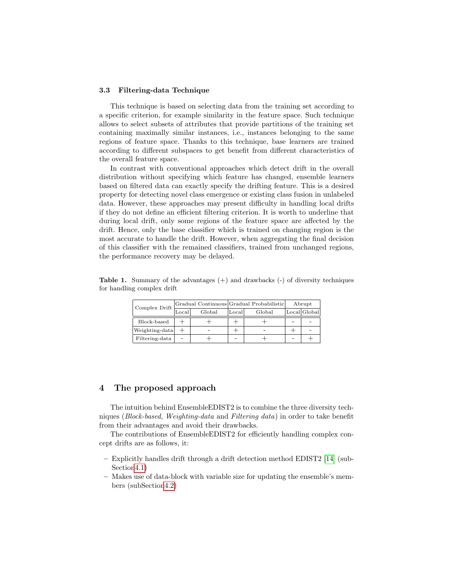#### 3.3 Filtering-data Technique

This technique is based on selecting data from the training set according to a specific criterion, for example similarity in the feature space. Such technique allows to select subsets of attributes that provide partitions of the training set containing maximally similar instances, i.e., instances belonging to the same regions of feature space. Thanks to this technique, base learners are trained according to different subspaces to get benefit from different characteristics of the overall feature space.

In contrast with conventional approaches which detect drift in the overall distribution without specifying which feature has changed, ensemble learners based on filtered data can exactly specify the drifting feature. This is a desired property for detecting novel class emergence or existing class fusion in unlabeled data. However, these approaches may present difficulty in handling local drifts if they do not define an efficient filtering criterion. It is worth to underline that during local drift, only some regions of the feature space are affected by the drift. Hence, only the base classifier which is trained on changing region is the most accurate to handle the drift. However, when aggregating the final decision of this classifier with the remained classifiers, trained from unchanged regions, the performance recovery may be delayed.

<span id="page-5-0"></span>

| Complex Drift  |       |        | Gradual Continuous Gradual Probabilistic |        | Abrupt |              |
|----------------|-------|--------|------------------------------------------|--------|--------|--------------|
|                | Local | Global | Local                                    | Global |        | Local Global |
| Block-based    |       |        |                                          |        | -      |              |
| Weighting-data |       |        |                                          |        |        |              |
| Filtering-data |       |        | -                                        |        | -      |              |

**Table 1.** Summary of the advantages  $(+)$  and drawbacks  $(-)$  of diversity techniques for handling complex drift

## 4 The proposed approach

The intuition behind EnsembleEDIST2 is to combine the three diversity techniques (Block-based, Weighting-data and Filtering data) in order to take benefit from their advantages and avoid their drawbacks.

The contributions of EnsembleEDIST2 for efficiently handling complex concept drifts are as follows, it:

- Explicitly handles drift through a drift detection method EDIST2 [\[14\]](#page-18-9) (sub-Sectio[n4.1\)](#page-6-0)
- Makes use of data-block with variable size for updating the ensemble's members (subSectio[n4.2\)](#page-7-0)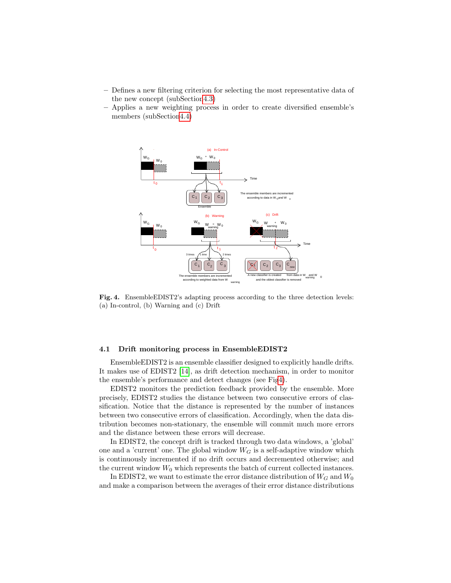- Defines a new filtering criterion for selecting the most representative data of the new concept (subSectio[n4.3\)](#page-8-0)
- Applies a new weighting process in order to create diversified ensemble's members (subSectio[n4.4\)](#page-8-1)



<span id="page-6-1"></span>Fig. 4. EnsembleEDIST2's adapting process according to the three detection levels: (a) In-control, (b) Warning and (c) Drift

#### <span id="page-6-0"></span>4.1 Drift monitoring process in EnsembleEDIST2

EnsembleEDIST2 is an ensemble classifier designed to explicitly handle drifts. It makes use of EDIST2 [\[14\]](#page-18-9), as drift detection mechanism, in order to monitor the ensemble's performance and detect changes (see Fi[g4\)](#page-6-1).

EDIST2 monitors the prediction feedback provided by the ensemble. More precisely, EDIST2 studies the distance between two consecutive errors of classification. Notice that the distance is represented by the number of instances between two consecutive errors of classification. Accordingly, when the data distribution becomes non-stationary, the ensemble will commit much more errors and the distance between these errors will decrease.

In EDIST2, the concept drift is tracked through two data windows, a 'global' one and a 'current' one. The global window  $W_G$  is a self-adaptive window which is continuously incremented if no drift occurs and decremented otherwise; and the current window  $W_0$  which represents the batch of current collected instances.

In EDIST2, we want to estimate the error distance distribution of  $W_G$  and  $W_0$ and make a comparison between the averages of their error distance distributions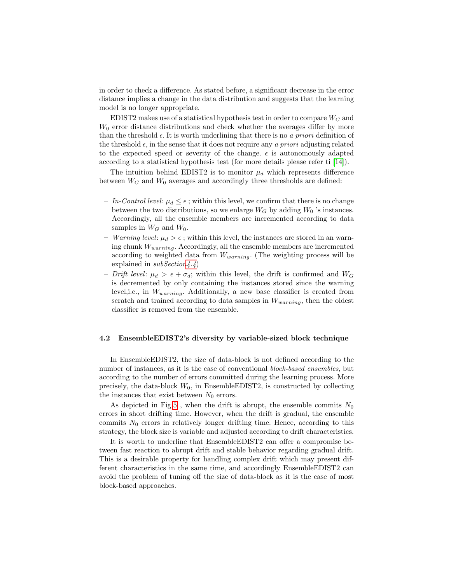in order to check a difference. As stated before, a significant decrease in the error distance implies a change in the data distribution and suggests that the learning model is no longer appropriate.

EDIST2 makes use of a statistical hypothesis test in order to compare  $W_G$  and  $W_0$  error distance distributions and check whether the averages differ by more than the threshold  $\epsilon$ . It is worth underlining that there is no a priori definition of the threshold  $\epsilon$ , in the sense that it does not require any a priori adjusting related to the expected speed or severity of the change.  $\epsilon$  is autonomously adapted according to a statistical hypothesis test (for more details please refer ti [\[14\]](#page-18-9)).

The intuition behind EDIST2 is to monitor  $\mu_d$  which represents difference between  $W_G$  and  $W_0$  averages and accordingly three thresholds are defined:

- In-Control level:  $\mu_d \leq \epsilon$ ; within this level, we confirm that there is no change between the two distributions, so we enlarge  $W_G$  by adding  $W_0$  's instances. Accordingly, all the ensemble members are incremented according to data samples in  $W_G$  and  $W_0$ .
- *Warning level:*  $\mu_d > \epsilon$ ; within this level, the instances are stored in an warning chunk  $W_{warning}$ . Accordingly, all the ensemble members are incremented according to weighted data from  $W_{warning}$ . (The weighting process will be explained in  $subSection 4.4$ )
- Drift level:  $\mu_d > \epsilon + \sigma_d$ ; within this level, the drift is confirmed and  $W_G$ is decremented by only containing the instances stored since the warning level, i.e., in  $W_{warning}$ . Additionally, a new base classifier is created from scratch and trained according to data samples in  $W_{warm}$ , then the oldest classifier is removed from the ensemble.

#### <span id="page-7-0"></span>4.2 EnsembleEDIST2's diversity by variable-sized block technique

In EnsembleEDIST2, the size of data-block is not defined according to the number of instances, as it is the case of conventional *block-based ensembles*, but according to the number of errors committed during the learning process. More precisely, the data-block  $W_0$ , in EnsembleEDIST2, is constructed by collecting the instances that exist between  $N_0$  errors.

As depicted in Fig[.5](#page-8-2), when the drift is abrupt, the ensemble commits  $N_0$ errors in short drifting time. However, when the drift is gradual, the ensemble commits  $N_0$  errors in relatively longer drifting time. Hence, according to this strategy, the block size is variable and adjusted according to drift characteristics.

It is worth to underline that EnsembleEDIST2 can offer a compromise between fast reaction to abrupt drift and stable behavior regarding gradual drift. This is a desirable property for handling complex drift which may present different characteristics in the same time, and accordingly EnsembleEDIST2 can avoid the problem of tuning off the size of data-block as it is the case of most block-based approaches.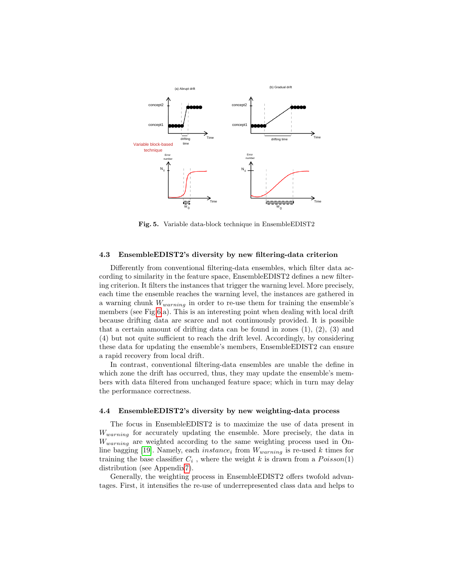

<span id="page-8-2"></span>Fig. 5. Variable data-block technique in EnsembleEDIST2

#### <span id="page-8-0"></span>4.3 EnsembleEDIST2's diversity by new filtering-data criterion

Differently from conventional filtering-data ensembles, which filter data according to similarity in the feature space, EnsembleEDIST2 defines a new filtering criterion. It filters the instances that trigger the warning level. More precisely, each time the ensemble reaches the warning level, the instances are gathered in a warning chunk  $W_{warming}$  in order to re-use them for training the ensemble's members (see Fig[.6.](#page-9-0)a). This is an interesting point when dealing with local drift because drifting data are scarce and not continuously provided. It is possible that a certain amount of drifting data can be found in zones  $(1), (2), (3)$  and (4) but not quite sufficient to reach the drift level. Accordingly, by considering these data for updating the ensemble's members, EnsembleEDIST2 can ensure a rapid recovery from local drift.

In contrast, conventional filtering-data ensembles are unable the define in which zone the drift has occurred, thus, they may update the ensemble's members with data filtered from unchanged feature space; which in turn may delay the performance correctness.

#### <span id="page-8-1"></span>4.4 EnsembleEDIST2's diversity by new weighting-data process

The focus in EnsembleEDIST2 is to maximize the use of data present in Wwarning for accurately updating the ensemble. More precisely, the data in  $W_{\text{warning}}$  are weighted according to the same weighting process used in On-line bagging [\[19\]](#page-18-8). Namely, each *instance* from  $W_{warning}$  is re-used k times for training the base classifier  $C_i$ , where the weight k is drawn from a  $Poisson(1)$ distribution (see Appendi[x7\)](#page-15-0).

Generally, the weighting process in EnsembleEDIST2 offers twofold advantages. First, it intensifies the re-use of underrepresented class data and helps to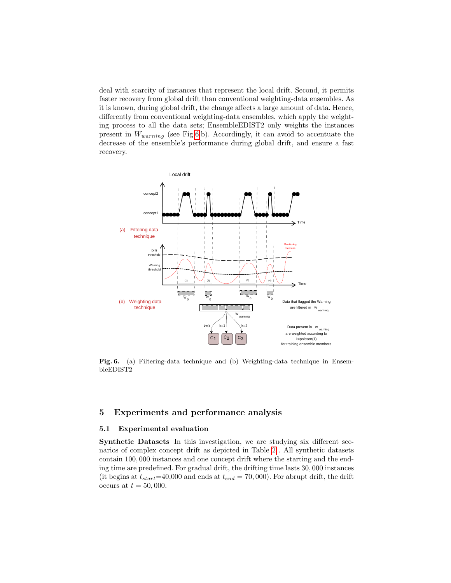deal with scarcity of instances that represent the local drift. Second, it permits faster recovery from global drift than conventional weighting-data ensembles. As it is known, during global drift, the change affects a large amount of data. Hence, differently from conventional weighting-data ensembles, which apply the weighting process to all the data sets; EnsembleEDIST2 only weights the instances present in  $W_{warning}$  (see Fig[.6.](#page-9-0)b). Accordingly, it can avoid to accentuate the decrease of the ensemble's performance during global drift, and ensure a fast recovery.



<span id="page-9-0"></span>Fig. 6. (a) Filtering-data technique and (b) Weighting-data technique in EnsembleEDIST2

## 5 Experiments and performance analysis

#### 5.1 Experimental evaluation

Synthetic Datasets In this investigation, we are studying six different scenarios of complex concept drift as depicted in Table [2](#page-10-0) . All synthetic datasets contain 100, 000 instances and one concept drift where the starting and the ending time are predefined. For gradual drift, the drifting time lasts 30, 000 instances (it begins at  $t_{start}=40,000$  and ends at  $t_{end} = 70,000$ ). For abrupt drift, the drift occurs at  $t = 50,000$ .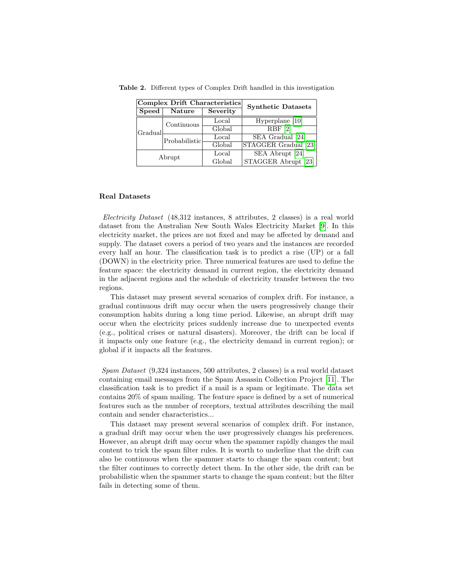<span id="page-10-0"></span>

| Complex Drift Characteristics |               |          | <b>Synthetic Datasets</b> |  |  |
|-------------------------------|---------------|----------|---------------------------|--|--|
| <b>Speed</b><br><b>Nature</b> |               | Severity |                           |  |  |
|                               | Continuous    | Local    | Hyperplane [10]           |  |  |
| Gradual                       |               | Global   | $RBF$ [2]                 |  |  |
|                               | Probabilistic | Local    | SEA Gradual [24]          |  |  |
|                               |               | Global   | STAGGER Gradual [23]      |  |  |
| Abrupt                        |               | Local    | SEA Abrupt [24]           |  |  |
|                               |               | Global   | STAGGER Abrupt [23]       |  |  |

Table 2. Different types of Complex Drift handled in this investigation

#### Real Datasets

Electricity Dataset (48,312 instances, 8 attributes, 2 classes) is a real world dataset from the Australian New South Wales Electricity Market [\[9\]](#page-18-13). In this electricity market, the prices are not fixed and may be affected by demand and supply. The dataset covers a period of two years and the instances are recorded every half an hour. The classification task is to predict a rise (UP) or a fall (DOWN) in the electricity price. Three numerical features are used to define the feature space: the electricity demand in current region, the electricity demand in the adjacent regions and the schedule of electricity transfer between the two regions.

This dataset may present several scenarios of complex drift. For instance, a gradual continuous drift may occur when the users progressively change their consumption habits during a long time period. Likewise, an abrupt drift may occur when the electricity prices suddenly increase due to unexpected events (e.g., political crises or natural disasters). Moreover, the drift can be local if it impacts only one feature (e.g., the electricity demand in current region); or global if it impacts all the features.

Spam Dataset (9,324 instances, 500 attributes, 2 classes) is a real world dataset containing email messages from the Spam Assassin Collection Project [\[11\]](#page-18-14). The classification task is to predict if a mail is a spam or legitimate. The data set contains 20% of spam mailing. The feature space is defined by a set of numerical features such as the number of receptors, textual attributes describing the mail contain and sender characteristics...

This dataset may present several scenarios of complex drift. For instance, a gradual drift may occur when the user progressively changes his preferences. However, an abrupt drift may occur when the spammer rapidly changes the mail content to trick the spam filter rules. It is worth to underline that the drift can also be continuous when the spammer starts to change the spam content; but the filter continues to correctly detect them. In the other side, the drift can be probabilistic when the spammer starts to change the spam content; but the filter fails in detecting some of them.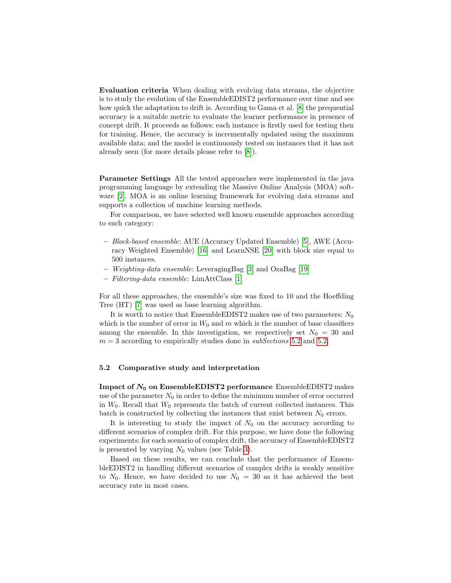Evaluation criteria When dealing with evolving data streams, the objective is to study the evolution of the EnsembleEDIST2 performance over time and see how quick the adaptation to drift is. According to Gama et al. [\[8\]](#page-18-15) the prequential accuracy is a suitable metric to evaluate the learner performance in presence of concept drift. It proceeds as follows: each instance is firstly used for testing then for training. Hence, the accuracy is incrementally updated using the maximum available data; and the model is continuously tested on instances that it has not already seen (for more details please refer to [\[8\]](#page-18-15)).

Parameter Settings All the tested approaches were implemented in the java programming language by extending the Massive Online Analysis (MOA) software [\[2\]](#page-17-4). MOA is an online learning framework for evolving data streams and supports a collection of machine learning methods.

For comparison, we have selected well known ensemble approaches according to each category:

- Block-based ensemble: AUE (Accuracy Updated Ensemble) [\[5\]](#page-17-0), AWE (Accuracy Weighted Ensemble) [\[16\]](#page-18-4) and LearnNSE [\[20\]](#page-18-5) with block size equal to 500 instances.
- Weighting-data ensemble: LeveragingBag [\[3\]](#page-17-1) and OzaBag [\[19\]](#page-18-8)
- Filtering-data ensemble: LimAttClass [\[1\]](#page-17-3)

For all these approaches, the ensemble's size was fixed to 10 and the Hoeffding Tree (HT) [\[7\]](#page-18-16) was used as base learning algorithm.

It is worth to notice that EnsembleEDIST2 makes use of two parameters:  $N_0$ which is the number of error in  $W_0$  and  $m$  which is the number of base classifiers among the ensemble. In this investigation, we respectively set  $N_0 = 30$  and  $m = 3$  according to empirically studies done in *subSections* [5.2](#page-11-0) and [5.2.](#page-12-0)

#### 5.2 Comparative study and interpretation

<span id="page-11-0"></span>Impact of  $N_0$  on EnsembleEDIST2 performance EnsembleEDIST2 makes use of the parameter  $N_0$  in order to define the minimum number of error occurred in  $W_0$ . Recall that  $W_0$  represents the batch of current collected instances. This batch is constructed by collecting the instances that exist between  $N_0$  errors.

It is interesting to study the impact of  $N_0$  on the accuracy according to different scenarios of complex drift. For this purpose, we have done the following experiments: for each scenario of complex drift, the accuracy of EnsembleEDIST2 is presented by varying  $N_0$  values (see Table [3\)](#page-12-1).

Based on these results, we can conclude that the performance of EnsembleEDIST2 in handling different scenarios of complex drifts is weakly sensitive to  $N_0$ . Hence, we have decided to use  $N_0 = 30$  as it has achieved the best accuracy rate in most cases.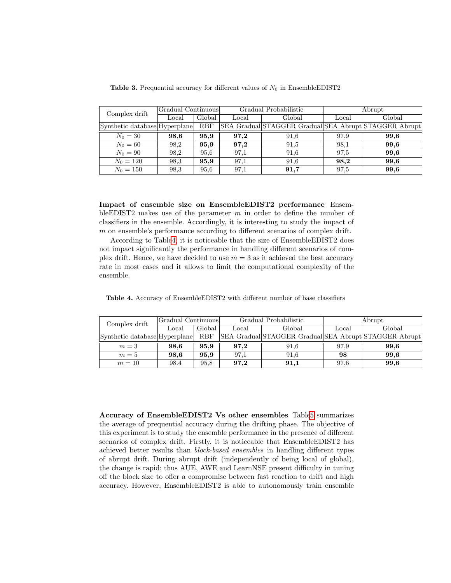| Complex drift                 | Gradual Continuous |            |       | Gradual Probabilistic                                 | Abrupt |        |  |
|-------------------------------|--------------------|------------|-------|-------------------------------------------------------|--------|--------|--|
|                               | Local              | Global     | Local | Global                                                | Local  | Global |  |
| Synthetic database Hyperplane |                    | <b>RBF</b> |       | SEA Gradual STAGGER Gradual SEA Abrupt STAGGER Abrupt |        |        |  |
| $N_0 = 30$                    | 98,6               | 95.9       | 97.2  | 91,6                                                  | 97.9   | 99.6   |  |
| $N_0 = 60$                    | 98,2               | 95,9       | 97,2  | 91,5                                                  | 98,1   | 99,6   |  |
| $N_0 = 90$                    | 98,2               | 95.6       | 97,1  | 91,6                                                  | 97.5   | 99,6   |  |
| $N_0 = 120$                   | 98.3               | 95,9       | 97,1  | 91,6                                                  | 98,2   | 99,6   |  |
| $N_0 = 150$                   | 98.3               | 95.6       | 97,1  | 91,7                                                  | 97,5   | 99,6   |  |

<span id="page-12-1"></span>**Table 3.** Prequential accuracy for different values of  $N_0$  in EnsembleEDIST2

<span id="page-12-0"></span>Impact of ensemble size on EnsembleEDIST2 performance EnsembleEDIST2 makes use of the parameter  $m$  in order to define the number of classifiers in the ensemble. Accordingly, it is interesting to study the impact of m on ensemble's performance according to different scenarios of complex drift.

According to Tabl[e4,](#page-12-2) it is noticeable that the size of EnsembleEDIST2 does not impact significantly the performance in handling different scenarios of complex drift. Hence, we have decided to use  $m = 3$  as it achieved the best accuracy rate in most cases and it allows to limit the computational complexity of the ensemble.

| Complex drift                 | Gradual Continuous |           |       | Gradual Probabilistic                                 | Abrupt |        |  |
|-------------------------------|--------------------|-----------|-------|-------------------------------------------------------|--------|--------|--|
|                               | Local              | Global    | Local | Global                                                | Local  | Global |  |
| Synthetic database Hyperplane |                    | $\rm RBF$ |       | SEA Gradual STAGGER Gradual SEA Abrupt STAGGER Abrupt |        |        |  |
| $m=3$                         | 98.6               | 95.9      | 97.2  | 91.6                                                  | 97.9   | 99,6   |  |
| $m=5$                         | 98.6               | 95.9      | 97.1  | 91.6                                                  | 98     | 99,6   |  |
| $m=10$                        | 98.4               | 95.8      | 97.2  | 91,1                                                  | 97,6   | 99,6   |  |

<span id="page-12-2"></span>Table 4. Accuracy of EnsembleEDIST2 with different number of base classifiers

Accuracy of EnsembleEDIST2 Vs other ensembles Tabl[e5](#page-13-0) summarizes the average of prequential accuracy during the drifting phase. The objective of this experiment is to study the ensemble performance in the presence of different scenarios of complex drift. Firstly, it is noticeable that EnsembleEDIST2 has achieved better results than block-based ensembles in handling different types of abrupt drift. During abrupt drift (independently of being local of global), the change is rapid; thus AUE, AWE and LearnNSE present difficulty in tuning off the block size to offer a compromise between fast reaction to drift and high accuracy. However, EnsembleEDIST2 is able to autonomously train ensemble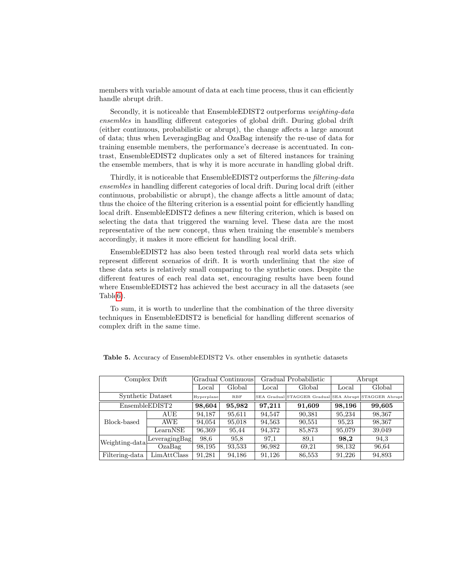members with variable amount of data at each time process, thus it can efficiently handle abrupt drift.

Secondly, it is noticeable that EnsembleEDIST2 outperforms weighting-data ensembles in handling different categories of global drift. During global drift (either continuous, probabilistic or abrupt), the change affects a large amount of data; thus when LeveragingBag and OzaBag intensify the re-use of data for training ensemble members, the performance's decrease is accentuated. In contrast, EnsembleEDIST2 duplicates only a set of filtered instances for training the ensemble members, that is why it is more accurate in handling global drift.

Thirdly, it is noticeable that EnsembleEDIST2 outperforms the filtering-data ensembles in handling different categories of local drift. During local drift (either continuous, probabilistic or abrupt), the change affects a little amount of data; thus the choice of the filtering criterion is a essential point for efficiently handling local drift. EnsembleEDIST2 defines a new filtering criterion, which is based on selecting the data that triggered the warning level. These data are the most representative of the new concept, thus when training the ensemble's members accordingly, it makes it more efficient for handling local drift.

EnsembleEDIST2 has also been tested through real world data sets which represent different scenarios of drift. It is worth underlining that the size of these data sets is relatively small comparing to the synthetic ones. Despite the different features of each real data set, encouraging results have been found where EnsembleEDIST2 has achieved the best accuracy in all the datasets (see Tabl[e6\)](#page-14-0).

To sum, it is worth to underline that the combination of the three diversity techniques in EnsembleEDIST2 is beneficial for handling different scenarios of complex drift in the same time.

| Complex Drift     |                |            | Gradual Continuous | Gradual Probabilistic |                                                       | Abrupt |        |
|-------------------|----------------|------------|--------------------|-----------------------|-------------------------------------------------------|--------|--------|
|                   |                | Local      | Global             | Local                 | Global                                                | Local  | Global |
| Synthetic Dataset |                | Hyperplane | <b>RBF</b>         |                       | SEA Gradual STAGGER Gradual SEA Abrupt STAGGER Abrupt |        |        |
| EnsembleEDIST2    |                | 98,604     | 95,982             | 97,211                | 91,609                                                | 98,196 | 99,605 |
|                   | AUE            | 94.187     | 95,611             | 94.547                | 90,381                                                | 95,234 | 98,367 |
| Block-based       | AWE            | 94,054     | 95,018             | 94,563                | 90,551                                                | 95,23  | 98,367 |
|                   | $\rm LearnNSE$ | 96,369     | 95,44              | 94,372                | 85,873                                                | 95,079 | 39,049 |
| Weighting-data    | LeveragingBag  | 98.6       | 95.8               | 97,1                  | 89.1                                                  | 98.2   | 94,3   |
|                   | OzaBag         | 98,195     | 93,533             | 96,982                | 69.21                                                 | 98,132 | 96,64  |
| Filtering-data    | LimAttClass    | 91,281     | 94,186             | 91.126                | 86,553                                                | 91,226 | 94,893 |

<span id="page-13-0"></span>Table 5. Accuracy of EnsembleEDIST2 Vs. other ensembles in synthetic datasets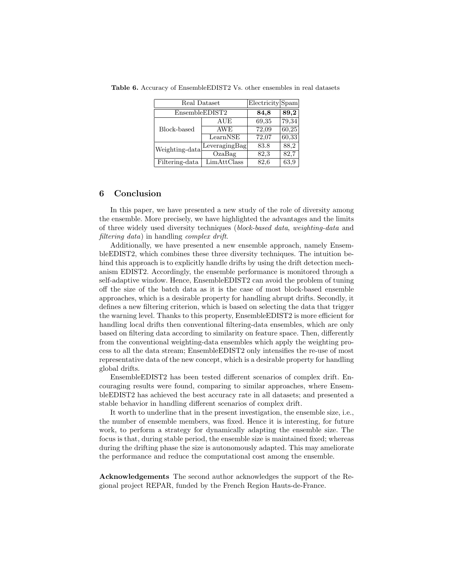<span id="page-14-0"></span>

| Real Dataset   | Electricity Spam |       |       |
|----------------|------------------|-------|-------|
| EnsembleEDIST2 | 84,8             | 89,2  |       |
|                | AUE              | 69,35 | 79,34 |
| Block-based    | <b>AWE</b>       | 72,09 | 60,25 |
|                | LearnNSE         | 72,07 | 60,33 |
| Weighting-data | LeveragingBag    | 83.8  | 88,2  |
|                | OzaBag           | 82,3  | 82,7  |
| Filtering-data | LimAttClass      | 82,6  | 63,9  |

Table 6. Accuracy of EnsembleEDIST2 Vs. other ensembles in real datasets

## 6 Conclusion

In this paper, we have presented a new study of the role of diversity among the ensemble. More precisely, we have highlighted the advantages and the limits of three widely used diversity techniques (block-based data, weighting-data and filtering data) in handling complex drift.

Additionally, we have presented a new ensemble approach, namely EnsembleEDIST2, which combines these three diversity techniques. The intuition behind this approach is to explicitly handle drifts by using the drift detection mechanism EDIST2. Accordingly, the ensemble performance is monitored through a self-adaptive window. Hence, EnsembleEDIST2 can avoid the problem of tuning off the size of the batch data as it is the case of most block-based ensemble approaches, which is a desirable property for handling abrupt drifts. Secondly, it defines a new filtering criterion, which is based on selecting the data that trigger the warning level. Thanks to this property, EnsembleEDIST2 is more efficient for handling local drifts then conventional filtering-data ensembles, which are only based on filtering data according to similarity on feature space. Then, differently from the conventional weighting-data ensembles which apply the weighting process to all the data stream; EnsembleEDIST2 only intensifies the re-use of most representative data of the new concept, which is a desirable property for handling global drifts.

EnsembleEDIST2 has been tested different scenarios of complex drift. Encouraging results were found, comparing to similar approaches, where EnsembleEDIST2 has achieved the best accuracy rate in all datasets; and presented a stable behavior in handling different scenarios of complex drift.

It worth to underline that in the present investigation, the ensemble size, i.e., the number of ensemble members, was fixed. Hence it is interesting, for future work, to perform a strategy for dynamically adapting the ensemble size. The focus is that, during stable period, the ensemble size is maintained fixed; whereas during the drifting phase the size is autonomously adapted. This may ameliorate the performance and reduce the computational cost among the ensemble.

Acknowledgements The second author acknowledges the support of the Regional project REPAR, funded by the French Region Hauts-de-France.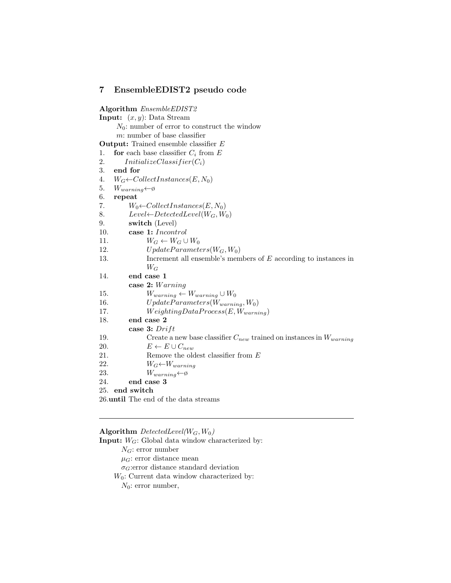## <span id="page-15-0"></span>7 EnsembleEDIST2 pseudo code

| Algorithm EnsembleEDIST2                                                            |
|-------------------------------------------------------------------------------------|
| <b>Input:</b> $(x, y)$ : Data Stream                                                |
| $N_0$ : number of error to construct the window                                     |
| $m:$ number of base classifier                                                      |
| <b>Output:</b> Trained ensemble classifier $E$                                      |
| for each base classifier $C_i$ from E<br>1.                                         |
| $InitializeClassifier(C_i)$<br>2.                                                   |
| 3.<br>end for                                                                       |
| $W_G \leftarrow CollectInstances(E, N_0)$<br>4.                                     |
| 5.<br>$W_{warning} \leftarrow \emptyset$                                            |
| 6.<br>repeat                                                                        |
| $W_0 \leftarrow CollectInstances(E, N_0)$<br>7.                                     |
| $Level \leftarrow detectedLevel(W_G, W_0)$<br>8.                                    |
| switch (Level)<br>9.                                                                |
| case 1: Incontrol<br>10.                                                            |
| 11.<br>$W_G \leftarrow W_G \cup W_0$                                                |
| $UpdateParameters(W_G, W_0)$<br>12.                                                 |
| 13.<br>Increment all ensemble's members of $E$ according to instances in            |
| $W_G$                                                                               |
| end case 1<br>14.                                                                   |
| case 2: Warning                                                                     |
| $W_{warning} \leftarrow W_{warning} \cup W_0$<br>15.                                |
| $UpdateParameters(W_{warning}, W_0)$<br>16.                                         |
| $Weighting Data Process(E, W_{warning})$<br>17.                                     |
| 18.<br>end case 2                                                                   |
| case 3: $Drift$                                                                     |
| Create a new base classifier $C_{new}$ trained on instances in $W_{warming}$<br>19. |
| 20.<br>$E \leftarrow E \cup C_{new}$                                                |
| Remove the oldest classifier from $E$<br>21.                                        |
| 22.<br>$W_G \leftarrow W_{warning}$                                                 |
| 23.<br>$W_{warning} \leftarrow \emptyset$                                           |
| 24.<br>end case 3                                                                   |
| 25.<br>end switch                                                                   |
| 26.until The end of the data streams                                                |

Algorithm  $DetectedLevel(W_G, W_0)$ 

**Input:**  $W_G$ : Global data window characterized by:

 $N_G$ : error number  $\mu_G$ : error distance mean σG:error distance standard deviation  $W_0$ : Current data window characterized by:  $N_0$ : error number,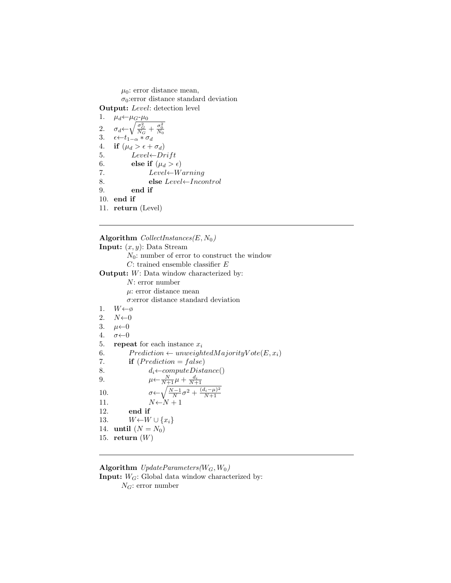$\mu_0$ : error distance mean,  $\sigma_0$ : error distance standard deviation Output: Level: detection level 1.  $\mu_d \leftarrow \mu_G - \mu_0$ 2.  $\sigma_d \leftarrow \sqrt{\frac{\sigma_G^2}{N_G} + \frac{\sigma_0^2}{N_0}}$ 3.  $\epsilon \leftarrow t_1 - \alpha * \sigma_d$ <br>4. if  $(\mu_d > \epsilon +$ if  $(\mu_d > \epsilon + \sigma_d)$ 5.  $Level \leftarrow Dritt$ 6. else if  $(\mu_d > \epsilon)$ 7. Level←W arning 8. else Level←Incontrol 9. end if 10. end if 11. return (Level)

Algorithm  $CollectInstances(E, N_0)$ 

**Input:**  $(x, y)$ : Data Stream  $N_0$ : number of error to construct the window C: trained ensemble classifier E Output: W: Data window characterized by: N: error number  $\mu$ : error distance mean σ:error distance standard deviation 1.  $W \leftarrow \emptyset$ 2.  $N \leftarrow 0$ 3.  $\mu \leftarrow 0$ 4.  $\sigma \leftarrow 0$ 5. repeat for each instance  $x_i$ 6. Prediction  $\leftarrow$  unweightedMajorityV ote $(E, x_i)$ 7. **if**  $(Prediction = false)$ 8.  $d_i \leftarrow computeDistance()$ 9.  $\mu \leftarrow \frac{N}{N+1} \mu + \frac{d_i}{N+1}$ 10.  $\sigma \leftarrow \sqrt{\frac{N-1}{N} \sigma^2 + \frac{(d_i - \mu)^2}{N+1}}$ 10.  $N \leftarrow N + 1$ <br>11.  $N \leftarrow N + 1$ 12. end if 13.  $W \leftarrow W \cup \{x_i\}$ 14. until  $(N = N_0)$ 15. return (W)

## Algorithm  $UpdateParameters(W_G, W_0)$

**Input:**  $W_G$ : Global data window characterized by:

 $N_G$ : error number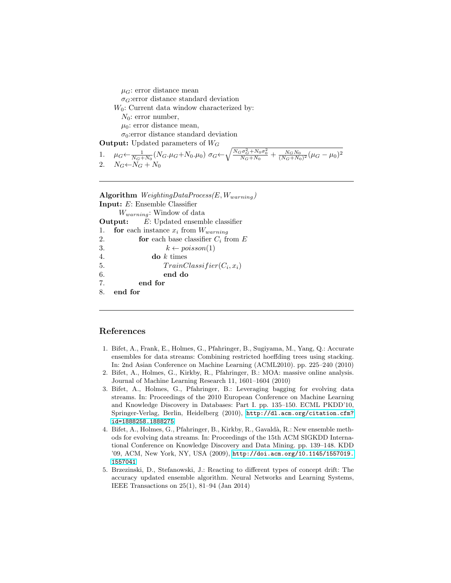$\mu_G$ : error distance mean  $\sigma_G$ : error distance standard deviation  $W_0$ : Current data window characterized by:  $N_0$ : error number,  $\mu_0$ : error distance mean,  $\sigma_0$ : error distance standard deviation **Output:** Updated parameters of  $W_G$ 

1. 
$$
\mu_G \leftarrow \frac{1}{N_G + N_0} (N_G \cdot \mu_G + N_0 \cdot \mu_0) \ \sigma_G \leftarrow \sqrt{\frac{N_G \sigma_G^2 + N_0 \sigma_0^2}{N_G + N_0} + \frac{N_G N_0}{(N_G + N_0)^2} (\mu_G - \mu_0)^2}
$$
  
2.  $N_G \leftarrow N_G + N_0$ 

Algorithm  $WeightingDataProcess(E, W_{warning})$ Input: E: Ensemble Classifier  $W_{warning}$ : Window of data **Output:** E: Updated ensemble classifier 1. **for** each instance  $x_i$  from  $W_{warning}$ 2. **for** each base classifier  $C_i$  from  $E$ 3.  $k \leftarrow poisson(1)$ 4.  $\qquad \qquad \mathbf{do} \; k \; \text{times}$ 5.  $TrainClassifier(C_i, x_i)$ 6. end do 7. end for 8. end for

## References

- <span id="page-17-3"></span>1. Bifet, A., Frank, E., Holmes, G., Pfahringer, B., Sugiyama, M., Yang, Q.: Accurate ensembles for data streams: Combining restricted hoeffding trees using stacking. In: 2nd Asian Conference on Machine Learning (ACML2010). pp. 225–240 (2010)
- <span id="page-17-4"></span>2. Bifet, A., Holmes, G., Kirkby, R., Pfahringer, B.: MOA: massive online analysis. Journal of Machine Learning Research 11, 1601–1604 (2010)
- <span id="page-17-1"></span>3. Bifet, A., Holmes, G., Pfahringer, B.: Leveraging bagging for evolving data streams. In: Proceedings of the 2010 European Conference on Machine Learning and Knowledge Discovery in Databases: Part I. pp. 135–150. ECML PKDD'10, Springer-Verlag, Berlin, Heidelberg (2010), [http://dl.acm.org/citation.cfm?](http://dl.acm.org/citation.cfm?id=1888258.1888275) [id=1888258.1888275](http://dl.acm.org/citation.cfm?id=1888258.1888275)
- <span id="page-17-2"></span>4. Bifet, A., Holmes, G., Pfahringer, B., Kirkby, R., Gavaldà, R.: New ensemble methods for evolving data streams. In: Proceedings of the 15th ACM SIGKDD International Conference on Knowledge Discovery and Data Mining. pp. 139–148. KDD '09, ACM, New York, NY, USA (2009), [http://doi.acm.org/10.1145/1557019.](http://doi.acm.org/10.1145/1557019.1557041) [1557041](http://doi.acm.org/10.1145/1557019.1557041)
- <span id="page-17-0"></span>5. Brzezinski, D., Stefanowski, J.: Reacting to different types of concept drift: The accuracy updated ensemble algorithm. Neural Networks and Learning Systems, IEEE Transactions on 25(1), 81–94 (Jan 2014)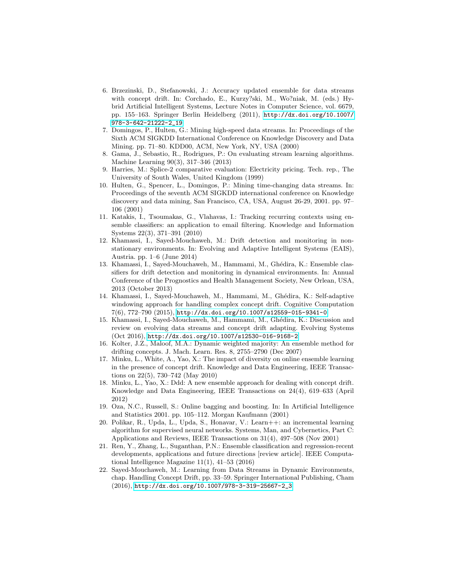- <span id="page-18-11"></span>6. Brzezinski, D., Stefanowski, J.: Accuracy updated ensemble for data streams with concept drift. In: Corchado, E., Kurzy?ski, M., Wo?niak, M. (eds.) Hybrid Artificial Intelligent Systems, Lecture Notes in Computer Science, vol. 6679, pp. 155–163. Springer Berlin Heidelberg (2011), [http://dx.doi.org/10.1007/](http://dx.doi.org/10.1007/978-3-642-21222-2_19) [978-3-642-21222-2\\_19](http://dx.doi.org/10.1007/978-3-642-21222-2_19)
- <span id="page-18-16"></span>7. Domingos, P., Hulten, G.: Mining high-speed data streams. In: Proceedings of the Sixth ACM SIGKDD International Conference on Knowledge Discovery and Data Mining. pp. 71–80. KDD00, ACM, New York, NY, USA (2000)
- <span id="page-18-15"></span>8. Gama, J., Sebastio, R., Rodrigues, P.: On evaluating stream learning algorithms. Machine Learning 90(3), 317–346 (2013)
- <span id="page-18-13"></span>9. Harries, M.: Splice-2 comparative evaluation: Electricity pricing. Tech. rep., The University of South Wales, United Kingdom (1999)
- <span id="page-18-12"></span>10. Hulten, G., Spencer, L., Domingos, P.: Mining time-changing data streams. In: Proceedings of the seventh ACM SIGKDD international conference on Knowledge discovery and data mining, San Francisco, CA, USA, August 26-29, 2001. pp. 97– 106 (2001)
- <span id="page-18-14"></span>11. Katakis, I., Tsoumakas, G., Vlahavas, I.: Tracking recurring contexts using ensemble classifiers: an application to email filtering. Knowledge and Information Systems 22(3), 371–391 (2010)
- <span id="page-18-10"></span>12. Khamassi, I., Sayed-Mouchaweh, M.: Drift detection and monitoring in nonstationary environments. In: Evolving and Adaptive Intelligent Systems (EAIS), Austria. pp. 1–6 (June 2014)
- <span id="page-18-7"></span>13. Khamassi, I., Sayed-Mouchaweh, M., Hammami, M., Gh´edira, K.: Ensemble classifiers for drift detection and monitoring in dynamical environments. In: Annual Conference of the Prognostics and Health Management Society, New Orlean, USA, 2013 (October 2013)
- <span id="page-18-9"></span>14. Khamassi, I., Sayed-Mouchaweh, M., Hammami, M., Gh´edira, K.: Self-adaptive windowing approach for handling complex concept drift. Cognitive Computation 7(6), 772–790 (2015), <http://dx.doi.org/10.1007/s12559-015-9341-0>
- <span id="page-18-3"></span>15. Khamassi, I., Sayed-Mouchaweh, M., Hammami, M., Ghédira, K.: Discussion and review on evolving data streams and concept drift adapting. Evolving Systems (Oct 2016), <http://dx.doi.org/10.1007/s12530-016-9168-2>
- <span id="page-18-4"></span>16. Kolter, J.Z., Maloof, M.A.: Dynamic weighted majority: An ensemble method for drifting concepts. J. Mach. Learn. Res. 8, 2755–2790 (Dec 2007)
- <span id="page-18-0"></span>17. Minku, L., White, A., Yao, X.: The impact of diversity on online ensemble learning in the presence of concept drift. Knowledge and Data Engineering, IEEE Transactions on 22(5), 730–742 (May 2010)
- <span id="page-18-6"></span>18. Minku, L., Yao, X.: Ddd: A new ensemble approach for dealing with concept drift. Knowledge and Data Engineering, IEEE Transactions on 24(4), 619–633 (April 2012)
- <span id="page-18-8"></span>19. Oza, N.C., Russell, S.: Online bagging and boosting. In: In Artificial Intelligence and Statistics 2001. pp. 105–112. Morgan Kaufmann (2001)
- <span id="page-18-5"></span>20. Polikar, R., Upda, L., Upda, S., Honavar, V.: Learn++: an incremental learning algorithm for supervised neural networks. Systems, Man, and Cybernetics, Part C: Applications and Reviews, IEEE Transactions on 31(4), 497–508 (Nov 2001)
- <span id="page-18-2"></span>21. Ren, Y., Zhang, L., Suganthan, P.N.: Ensemble classification and regression-recent developments, applications and future directions [review article]. IEEE Computational Intelligence Magazine 11(1), 41–53 (2016)
- <span id="page-18-1"></span>22. Sayed-Mouchaweh, M.: Learning from Data Streams in Dynamic Environments, chap. Handling Concept Drift, pp. 33–59. Springer International Publishing, Cham (2016), [http://dx.doi.org/10.1007/978-3-319-25667-2\\_3](http://dx.doi.org/10.1007/978-3-319-25667-2_3)